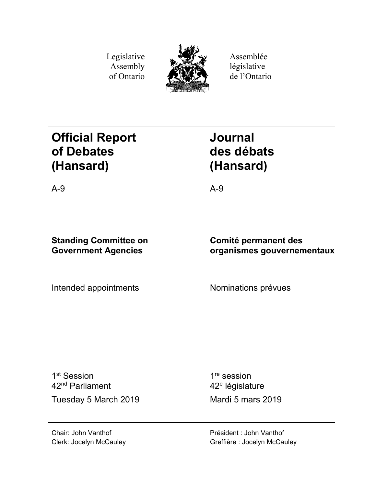Legislative Assembly of Ontario



Assemblée législative de l'Ontario

# **Official Report of Debates (Hansard)**

**Journal des débats (Hansard)**

A-9 A-9

# **Standing Committee on Government Agencies**

Intended appointments Mominations prévues

**Comité permanent des organismes gouvernementaux**

1<sup>st</sup> Session 42nd Parliament Tuesday 5 March 2019 Mardi 5 mars 2019

1<sup>re</sup> session 42<sup>e</sup> législature

Chair: John Vanthof Clerk: Jocelyn McCauley Président : John Vanthof Greffière : Jocelyn McCauley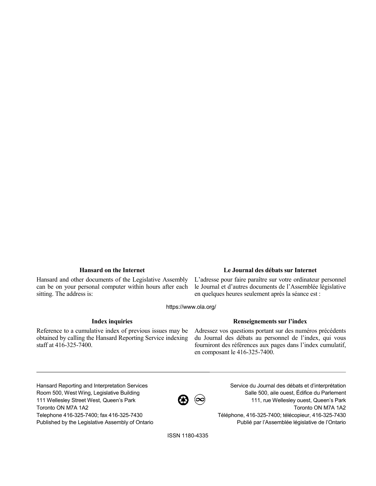Hansard and other documents of the Legislative Assembly can be on your personal computer within hours after each sitting. The address is:

# **Hansard on the Internet Le Journal des débats sur Internet**

L'adresse pour faire paraître sur votre ordinateur personnel le Journal et d'autres documents de l'Assemblée législative en quelques heures seulement après la séance est :

https://www.ola.org/

Reference to a cumulative index of previous issues may be obtained by calling the Hansard Reporting Service indexing staff at 416-325-7400.

## **Index inquiries Renseignements sur l'index**

Adressez vos questions portant sur des numéros précédents du Journal des débats au personnel de l'index, qui vous fourniront des références aux pages dans l'index cumulatif, en composant le 416-325-7400.

Hansard Reporting and Interpretation Services Room 500, West Wing, Legislative Building 111 Wellesley Street West, Queen's Park Toronto ON M7A 1A2 Telephone 416-325-7400; fax 416-325-7430 Published by the Legislative Assembly of Ontario



Service du Journal des débats et d'interprétation Salle 500, aile ouest, Édifice du Parlement 111, rue Wellesley ouest, Queen's Park Toronto ON M7A 1A2 Téléphone, 416-325-7400; télécopieur, 416-325-7430 Publié par l'Assemblée législative de l'Ontario

ISSN 1180-4335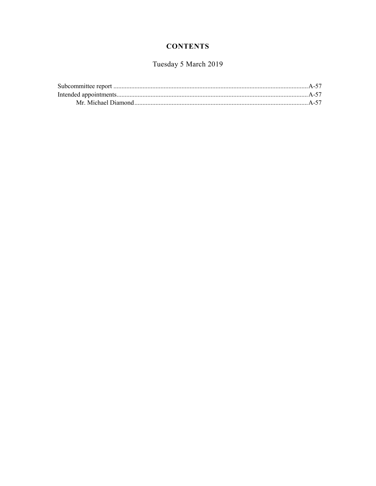# **CONTENTS**

# Tuesday 5 March 2019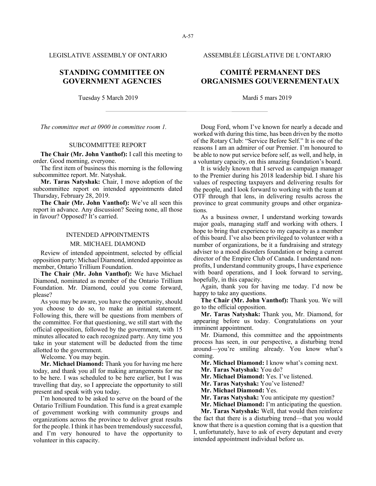LEGISLATIVE ASSEMBLY OF ONTARIO ASSEMBLÉE LÉGISLATIVE DE L'ONTARIO

# **STANDING COMMITTEE ON GOVERNMENT AGENCIES**

Tuesday 5 March 2019 Mardi 5 mars 2019

*The committee met at 0900 in committee room 1.*

### SUBCOMMITTEE REPORT

**The Chair (Mr. John Vanthof):** I call this meeting to order. Good morning, everyone.

The first item of business this morning is the following subcommittee report. Mr. Natyshak.

**Mr. Taras Natyshak:** Chair, I move adoption of the subcommittee report on intended appointments dated Thursday, February 28, 2019.

**The Chair (Mr. John Vanthof):** We've all seen this report in advance. Any discussion? Seeing none, all those in favour? Opposed? It's carried.

#### INTENDED APPOINTMENTS

#### MR. MICHAEL DIAMOND

Review of intended appointment, selected by official opposition party: Michael Diamond, intended appointee as member, Ontario Trillium Foundation.

**The Chair (Mr. John Vanthof):** We have Michael Diamond, nominated as member of the Ontario Trillium Foundation. Mr. Diamond, could you come forward, please?

As you may be aware, you have the opportunity, should you choose to do so, to make an initial statement. Following this, there will be questions from members of the committee. For that questioning, we still start with the official opposition, followed by the government, with 15 minutes allocated to each recognized party. Any time you take in your statement will be deducted from the time allotted to the government.

Welcome. You may begin.

**Mr. Michael Diamond:** Thank you for having me here today, and thank you all for making arrangements for me to be here. I was scheduled to be here earlier, but I was travelling that day, so I appreciate the opportunity to still present and speak with you today.

I'm honoured to be asked to serve on the board of the Ontario Trillium Foundation. This fund is a great example of government working with community groups and organizations across the province to deliver great results for the people. I think it has been tremendously successful, and I'm very honoured to have the opportunity to volunteer in this capacity.

# **COMITÉ PERMANENT DES ORGANISMES GOUVERNEMENTAUX**

Doug Ford, whom I've known for nearly a decade and worked with during this time, has been driven by the motto of the Rotary Club: "Service Before Self." It is one of the reasons I am an admirer of our Premier. I'm honoured to be able to now put service before self, as well, and help, in a voluntary capacity, on this amazing foundation's board.

It is widely known that I served as campaign manager to the Premier during his 2018 leadership bid. I share his values of respecting taxpayers and delivering results for the people, and I look forward to working with the team at OTF through that lens, in delivering results across the province to great community groups and other organizations.

As a business owner, I understand working towards major goals, managing staff and working with others. I hope to bring that experience to my capacity as a member of this board. I've also been privileged to volunteer with a number of organizations, be it a fundraising and strategy adviser to a mood disorders foundation or being a current director of the Empire Club of Canada. I understand nonprofits, I understand community groups, I have experience with board operations, and I look forward to serving, hopefully, in this capacity.

Again, thank you for having me today. I'd now be happy to take any questions.

**The Chair (Mr. John Vanthof):** Thank you. We will go to the official opposition.

**Mr. Taras Natyshak:** Thank you, Mr. Diamond, for appearing before us today. Congratulations on your imminent appointment.

Mr. Diamond, this committee and the appointments process has seen, in our perspective, a disturbing trend around—you're smiling already. You know what's coming.

**Mr. Michael Diamond:** I know what's coming next.

**Mr. Taras Natyshak:** You do?

**Mr. Michael Diamond:** Yes. I've listened.

**Mr. Taras Natyshak:** You've listened?

**Mr. Michael Diamond:** Yes.

**Mr. Taras Natyshak:** You anticipate my question?

**Mr. Michael Diamond:** I'm anticipating the question.

**Mr. Taras Natyshak:** Well, that would then reinforce the fact that there is a disturbing trend—that you would know that there is a question coming that is a question that I, unfortunately, have to ask of every deputant and every intended appointment individual before us.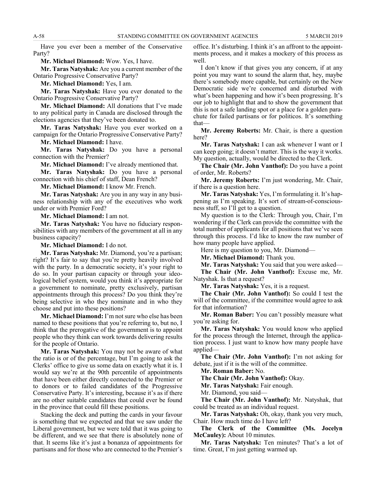Have you ever been a member of the Conservative Party?

**Mr. Michael Diamond:** Wow. Yes, I have.

**Mr. Taras Natyshak:** Are you a current member of the Ontario Progressive Conservative Party?

**Mr. Michael Diamond:** Yes, I am.

**Mr. Taras Natyshak:** Have you ever donated to the Ontario Progressive Conservative Party?

**Mr. Michael Diamond:** All donations that I've made to any political party in Canada are disclosed through the elections agencies that they've been donated to.

**Mr. Taras Natyshak:** Have you ever worked on a campaign for the Ontario Progressive Conservative Party?

**Mr. Michael Diamond:** I have.

**Mr. Taras Natyshak:** Do you have a personal connection with the Premier?

**Mr. Michael Diamond:** I've already mentioned that.

**Mr. Taras Natyshak:** Do you have a personal connection with his chief of staff, Dean French?

**Mr. Michael Diamond:** I know Mr. French.

**Mr. Taras Natyshak:** Are you in any way in any business relationship with any of the executives who work under or with Premier Ford?

**Mr. Michael Diamond:** I am not.

**Mr. Taras Natyshak:** You have no fiduciary responsibilities with any members of the government at all in any business capacity?

**Mr. Michael Diamond:** I do not.

**Mr. Taras Natyshak:** Mr. Diamond, you're a partisan; right? It's fair to say that you're pretty heavily involved with the party. In a democratic society, it's your right to do so. In your partisan capacity or through your ideological belief system, would you think it's appropriate for a government to nominate, pretty exclusively, partisan appointments through this process? Do you think they're being selective in who they nominate and in who they choose and put into these positions?

**Mr. Michael Diamond:** I'm not sure who else has been named to these positions that you're referring to, but no, I think that the prerogative of the government is to appoint people who they think can work towards delivering results for the people of Ontario.

**Mr. Taras Natyshak:** You may not be aware of what the ratio is or of the percentage, but I'm going to ask the Clerks' office to give us some data on exactly what it is. I would say we're at the 90th percentile of appointments that have been either directly connected to the Premier or to donors or to failed candidates of the Progressive Conservative Party. It's interesting, because it's as if there are no other suitable candidates that could ever be found in the province that could fill these positions.

Stacking the deck and putting the cards in your favour is something that we expected and that we saw under the Liberal government, but we were told that it was going to be different, and we see that there is absolutely none of that. It seems like it's just a bonanza of appointments for partisans and for those who are connected to the Premier's

office. It's disturbing. I think it's an affront to the appointments process, and it makes a mockery of this process as well.

I don't know if that gives you any concern, if at any point you may want to sound the alarm that, hey, maybe there's somebody more capable, but certainly on the New Democratic side we're concerned and disturbed with what's been happening and how it's been progressing. It's our job to highlight that and to show the government that this is not a safe landing spot or a place for a golden parachute for failed partisans or for politicos. It's something that—

**Mr. Jeremy Roberts:** Mr. Chair, is there a question here?

**Mr. Taras Natyshak:** I can ask whenever I want or I can keep going; it doesn't matter. This is the way it works. My question, actually, would be directed to the Clerk.

**The Chair (Mr. John Vanthof):** Do you have a point of order, Mr. Roberts?

**Mr. Jeremy Roberts:** I'm just wondering, Mr. Chair, if there is a question here.

**Mr. Taras Natyshak:** Yes, I'm formulating it. It's happening as I'm speaking. It's sort of stream-of-consciousness stuff, so I'll get to a question.

My question is to the Clerk: Through you, Chair, I'm wondering if the Clerk can provide the committee with the total number of applicants for all positions that we've seen through this process. I'd like to know the raw number of how many people have applied.

Here is my question to you, Mr. Diamond—

**Mr. Michael Diamond:** Thank you.

**Mr. Taras Natyshak:** You said that you were asked—

**The Chair (Mr. John Vanthof):** Excuse me, Mr. Natyshak. Is that a request?

**Mr. Taras Natyshak:** Yes, it is a request.

**The Chair (Mr. John Vanthof):** So could I test the will of the committee, if the committee would agree to ask for that information?

**Mr. Roman Baber:** You can't possibly measure what you're asking for.

**Mr. Taras Natyshak:** You would know who applied for the process through the Internet, through the application process. I just want to know how many people have applied—

**The Chair (Mr. John Vanthof):** I'm not asking for debate, just if it is the will of the committee.

**Mr. Roman Baber:** No.

**The Chair (Mr. John Vanthof):** Okay.

**Mr. Taras Natyshak:** Fair enough.

Mr. Diamond, you said—

**The Chair (Mr. John Vanthof):** Mr. Natyshak, that could be treated as an individual request.

**Mr. Taras Natyshak:** Oh, okay, thank you very much, Chair. How much time do I have left?

**The Clerk of the Committee (Ms. Jocelyn McCauley):** About 10 minutes.

**Mr. Taras Natyshak:** Ten minutes? That's a lot of time. Great, I'm just getting warmed up.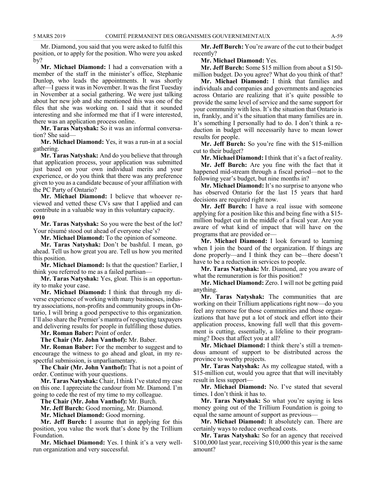Mr. Diamond, you said that you were asked to fulfil this position, or to apply for the position. Who were you asked by?

**Mr. Michael Diamond:** I had a conversation with a member of the staff in the minister's office, Stephanie Dunlop, who leads the appointments. It was shortly after—I guess it was in November. It was the first Tuesday in November at a social gathering. We were just talking about her new job and she mentioned this was one of the files that she was working on. I said that it sounded interesting and she informed me that if I were interested, there was an application process online.

**Mr. Taras Natyshak:** So it was an informal conversation? She said—

**Mr. Michael Diamond:** Yes, it was a run-in at a social gathering.

**Mr. Taras Natyshak:** And do you believe that through that application process, your application was submitted just based on your own individual merits and your experience, or do you think that there was any preference given to you as a candidate because of your affiliation with the PC Party of Ontario?

**Mr. Michael Diamond:** I believe that whoever reviewed and vetted these CVs saw that I applied and can contribute in a valuable way in this voluntary capacity. **0910**

**Mr. Taras Natyshak:** So you were the best of the lot? Your résumé stood out ahead of everyone else's?

**Mr. Michael Diamond:** To the opinion of someone.

**Mr. Taras Natyshak:** Don't be bashful. I mean, go ahead. Tell us how great you are. Tell us how you merited this position.

**Mr. Michael Diamond:** Is that the question? Earlier, I think you referred to me as a failed partisan—

**Mr. Taras Natyshak:** Yes, gloat. This is an opportunity to make your case.

**Mr. Michael Diamond:** I think that through my diverse experience of working with many businesses, industry associations, non-profits and community groups in Ontario, I will bring a good perspective to this organization. I'll also share the Premier's mantra of respecting taxpayers and delivering results for people in fulfilling those duties.

**Mr. Roman Baber:** Point of order.

**The Chair (Mr. John Vanthof):** Mr. Baber.

**Mr. Roman Baber:** For the member to suggest and to encourage the witness to go ahead and gloat, in my respectful submission, is unparliamentary.

**The Chair (Mr. John Vanthof):** That is not a point of order. Continue with your questions.

**Mr. Taras Natyshak:** Chair, I think I've stated my case on this one. I appreciate the candour from Mr. Diamond. I'm going to cede the rest of my time to my colleague.

**The Chair (Mr. John Vanthof):** Mr. Burch.

**Mr. Jeff Burch:** Good morning, Mr. Diamond.

**Mr. Michael Diamond:** Good morning.

**Mr. Jeff Burch:** I assume that in applying for this position, you value the work that's done by the Trillium Foundation.

**Mr. Michael Diamond:** Yes. I think it's a very wellrun organization and very successful.

**Mr. Jeff Burch:** You're aware of the cut to their budget recently?

**Mr. Michael Diamond:** Yes.

**Mr. Jeff Burch:** Some \$15 million from about a \$150 million budget. Do you agree? What do you think of that?

**Mr. Michael Diamond:** I think that families and individuals and companies and governments and agencies across Ontario are realizing that it's quite possible to provide the same level of service and the same support for your community with less. It's the situation that Ontario is in, frankly, and it's the situation that many families are in. It's something I personally had to do. I don't think a reduction in budget will necessarily have to mean lower results for people.

**Mr. Jeff Burch:** So you're fine with the \$15-million cut to their budget?

**Mr. Michael Diamond:** I think that it's a fact of reality.

**Mr. Jeff Burch:** Are you fine with the fact that it happened mid-stream through a fiscal period—not to the following year's budget, but nine months in?

**Mr. Michael Diamond:** It's no surprise to anyone who has observed Ontario for the last 15 years that hard decisions are required right now.

**Mr. Jeff Burch:** I have a real issue with someone applying for a position like this and being fine with a \$15 million budget cut in the middle of a fiscal year. Are you aware of what kind of impact that will have on the programs that are provided or—

**Mr. Michael Diamond:** I look forward to learning when I join the board of the organization. If things are done properly—and I think they can be—there doesn't have to be a reduction in services to people.

**Mr. Taras Natyshak:** Mr. Diamond, are you aware of what the remuneration is for this position?

**Mr. Michael Diamond:** Zero. I will not be getting paid anything.

**Mr. Taras Natyshak:** The communities that are working on their Trillium applications right now—do you feel any remorse for those communities and those organizations that have put a lot of stock and effort into their application process, knowing full well that this government is cutting, essentially, a lifeline to their programming? Does that affect you at all?

**Mr. Michael Diamond:** I think there's still a tremendous amount of support to be distributed across the province to worthy projects.

**Mr. Taras Natyshak:** As my colleague stated, with a \$15-million cut, would you agree that that will inevitably result in less support—

**Mr. Michael Diamond:** No. I've stated that several times. I don't think it has to.

**Mr. Taras Natyshak:** So what you're saying is less money going out of the Trillium Foundation is going to equal the same amount of support as previous—

**Mr. Michael Diamond:** It absolutely can. There are certainly ways to reduce overhead costs.

**Mr. Taras Natyshak:** So for an agency that received \$100,000 last year, receiving \$10,000 this year is the same amount?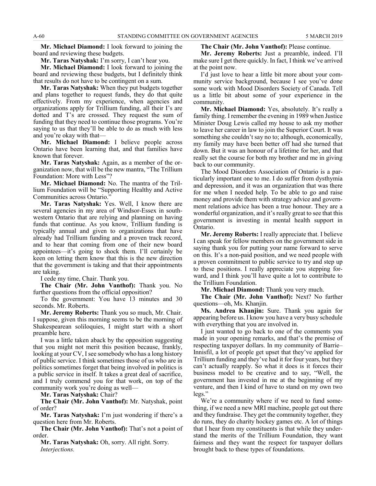**Mr. Michael Diamond:** I look forward to joining the board and reviewing these budgets.

**Mr. Taras Natyshak:** I'm sorry, I can't hear you.

**Mr. Michael Diamond:** I look forward to joining the board and reviewing these budgets, but I definitely think that results do not have to be contingent on a sum.

**Mr. Taras Natyshak:** When they put budgets together and plans together to request funds, they do that quite effectively. From my experience, when agencies and organizations apply for Trillium funding, all their I's are dotted and T's are crossed. They request the sum of funding that they need to continue those programs. You're saying to us that they'll be able to do as much with less and you're okay with that—

**Mr. Michael Diamond:** I believe people across Ontario have been learning that, and that families have known that forever.

**Mr. Taras Natyshak:** Again, as a member of the organization now, that will be the new mantra, "The Trillium Foundation: More with Less"?

**Mr. Michael Diamond:** No. The mantra of the Trillium Foundation will be "Supporting Healthy and Active Communities across Ontario."

**Mr. Taras Natyshak:** Yes. Well, I know there are several agencies in my area of Windsor-Essex in southwestern Ontario that are relying and planning on having funds that continue. As you know, Trillium funding is typically annual and given to organizations that have already had Trillium funding and a proven track record, and to hear that coming from one of their new board appointees—it's going to shock them. I'll certainly be keen on letting them know that this is the new direction that the government is taking and that their appointments are taking.

I cede my time, Chair. Thank you.

**The Chair (Mr. John Vanthof):** Thank you. No further questions from the official opposition?

To the government: You have 13 minutes and 30 seconds. Mr. Roberts.

**Mr. Jeremy Roberts:** Thank you so much, Mr. Chair. I suppose, given this morning seems to be the morning of Shakespearean soliloquies, I might start with a short preamble here.

I was a little taken aback by the opposition suggesting that you might not merit this position because, frankly, looking at your CV, I see somebody who has a long history of public service. I think sometimes those of us who are in politics sometimes forget that being involved in politics is a public service in itself. It takes a great deal of sacrifice, and I truly commend you for that work, on top of the community work you're doing as well—

**Mr. Taras Natyshak:** Chair?

**The Chair (Mr. John Vanthof):** Mr. Natyshak, point of order?

**Mr. Taras Natyshak:** I'm just wondering if there's a question here from Mr. Roberts.

**The Chair (Mr. John Vanthof):** That's not a point of order.

**Mr. Taras Natyshak:** Oh, sorry. All right. Sorry. *Interjections.*

**The Chair (Mr. John Vanthof):** Please continue.

**Mr. Jeremy Roberts:** Just a preamble, indeed. I'll make sure I get there quickly. In fact, I think we've arrived at the point now.

I'd just love to hear a little bit more about your community service background, because I see you've done some work with Mood Disorders Society of Canada. Tell us a little bit about some of your experience in the community.

**Mr. Michael Diamond:** Yes, absolutely. It's really a family thing. I remember the evening in 1989 when Justice Minister Doug Lewis called my house to ask my mother to leave her career in law to join the Superior Court. It was something she couldn't say no to; although, economically, my family may have been better off had she turned that down. But it was an honour of a lifetime for her, and that really set the course for both my brother and me in giving back to our community.

The Mood Disorders Association of Ontario is a particularly important one to me. I do suffer from dysthymia and depression, and it was an organization that was there for me when I needed help. To be able to go and raise money and provide them with strategy advice and government relations advice has been a true honour. They are a wonderful organization, and it's really great to see that this government is investing in mental health support in Ontario.

**Mr. Jeremy Roberts:** I really appreciate that. I believe I can speak for fellow members on the government side in saying thank you for putting your name forward to serve on this. It's a non-paid position, and we need people with a proven commitment to public service to try and step up to these positions. I really appreciate you stepping forward, and I think you'll have quite a lot to contribute to the Trillium Foundation.

**Mr. Michael Diamond:** Thank you very much.

**The Chair (Mr. John Vanthof):** Next? No further questions—oh, Ms. Khanjin.

**Ms. Andrea Khanjin:** Sure. Thank you again for appearing before us. I know you have a very busy schedule with everything that you are involved in.

I just wanted to go back to one of the comments you made in your opening remarks, and that's the premise of respecting taxpayer dollars. In my community of Barrie– Innisfil, a lot of people get upset that they've applied for Trillium funding and they've had it for four years, but they can't actually reapply. So what it does is it forces their business model to be creative and to say, "Well, the government has invested in me at the beginning of my venture, and then I kind of have to stand on my own two legs."

We're a community where if we need to fund something, if we need a new MRI machine, people get out there and they fundraise. They get the community together, they do runs, they do charity hockey games etc. A lot of things that I hear from my constituents is that while they understand the merits of the Trillium Foundation, they want fairness and they want the respect for taxpayer dollars brought back to these types of foundations.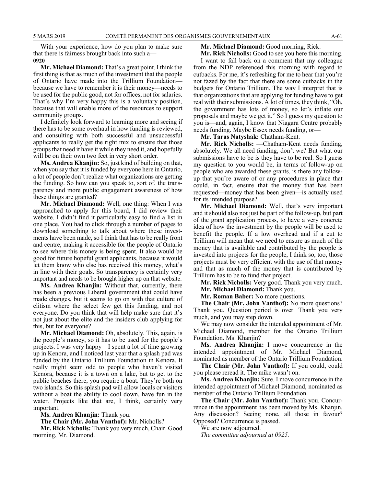With your experience, how do you plan to make sure that there is fairness brought back into such a— **0920**

**Mr. Michael Diamond:** That's a great point. I think the first thing is that as much of the investment that the people of Ontario have made into the Trillium Foundation because we have to remember it is their money—needs to be used for the public good, not for offices, not for salaries. That's why I'm very happy this is a voluntary position, because that will enable more of the resources to support community groups.

I definitely look forward to learning more and seeing if there has to be some overhaul in how funding is reviewed, and consulting with both successful and unsuccessful applicants to really get the right mix to ensure that those groups that need it have it while they need it, and hopefully will be on their own two feet in very short order.

**Ms. Andrea Khanjin:** So, just kind of building on that, when you say that it is funded by everyone here in Ontario, a lot of people don't realize what organizations are getting the funding. So how can you speak to, sort of, the transparency and more public engagement awareness of how these things are granted?

**Mr. Michael Diamond:** Well, one thing: When I was approached to apply for this board, I did review their website. I didn't find it particularly easy to find a list in one place. You had to click through a number of pages to download something to talk about where these investments have been made, so I think that has to be really front and centre, making it accessible for the people of Ontario to see where this money is being spent. It also would be good for future hopeful grant applicants, because it would let them know who else has received this money, what's in line with their goals. So transparency is certainly very important and needs to be brought higher up on that website.

**Ms. Andrea Khanjin:** Without that, currently, there has been a previous Liberal government that could have made changes, but it seems to go on with that culture of elitism where the select few get this funding, and not everyone. Do you think that will help make sure that it's not just about the elite and the insiders club applying for this, but for everyone?

**Mr. Michael Diamond:** Oh, absolutely. This, again, is the people's money, so it has to be used for the people's projects. I was very happy—I spent a lot of time growing up in Kenora, and I noticed last year that a splash pad was funded by the Ontario Trillium Foundation in Kenora. It really might seem odd to people who haven't visited Kenora, because it is a town on a lake, but to get to the public beaches there, you require a boat. They're both on two islands. So this splash pad will allow locals or visitors without a boat the ability to cool down, have fun in the water. Projects like that are, I think, certainly very important.

**Ms. Andrea Khanjin:** Thank you.

**The Chair (Mr. John Vanthof):** Mr. Nicholls?

**Mr. Rick Nicholls:** Thank you very much, Chair. Good morning, Mr. Diamond.

### **Mr. Michael Diamond:** Good morning, Rick.

**Mr. Rick Nicholls:** Good to see you here this morning.

I want to fall back on a comment that my colleague from the NDP referenced this morning with regard to cutbacks. For me, it's refreshing for me to hear that you're not fazed by the fact that there are some cutbacks in the budgets for Ontario Trillium. The way I interpret that is that organizations that are applying for funding have to get real with their submissions. A lot of times, they think, "Oh, the government has lots of money, so let's inflate our proposals and maybe we get it." So I guess my question to you is—and, again, I know that Niagara Centre probably needs funding. Maybe Essex needs funding, or—

**Mr. Taras Natyshak:** Chatham-Kent.

**Mr. Rick Nicholls:** —Chatham-Kent needs funding, absolutely. We all need funding, don't we? But what our submissions have to be is they have to be real. So I guess my question to you would be, in terms of follow-up on people who are awarded these grants, is there any followup that you're aware of or any procedures in place that could, in fact, ensure that the money that has been requested—money that has been given—is actually used for its intended purpose?

**Mr. Michael Diamond:** Well, that's very important and it should also not just be part of the follow-up, but part of the grant application process, to have a very concrete idea of how the investment by the people will be used to benefit the people. If a low overhead and if a cut to Trillium will mean that we need to ensure as much of the money that is available and contributed by the people is invested into projects for the people, I think so, too, those projects must be very efficient with the use of that money and that as much of the money that is contributed by Trillium has to be to fund that project.

**Mr. Rick Nicholls:** Very good. Thank you very much.

**Mr. Michael Diamond:** Thank you.

**Mr. Roman Baber:** No more questions.

**The Chair (Mr. John Vanthof):** No more questions? Thank you. Question period is over. Thank you very much, and you may step down.

We may now consider the intended appointment of Mr. Michael Diamond, member for the Ontario Trillium Foundation. Ms. Khanjin?

**Ms. Andrea Khanjin:** I move concurrence in the intended appointment of Mr. Michael Diamond, nominated as member of the Ontario Trillium Foundation.

**The Chair (Mr. John Vanthof):** If you could, could you please reread it. The mike wasn't on.

**Ms. Andrea Khanjin:** Sure. I move concurrence in the intended appointment of Michael Diamond, nominated as member of the Ontario Trillium Foundation.

**The Chair (Mr. John Vanthof):** Thank you. Concurrence in the appointment has been moved by Ms. Khanjin. Any discussion? Seeing none, all those in favour? Opposed? Concurrence is passed.

We are now adjourned.

*The committee adjourned at 0925.*